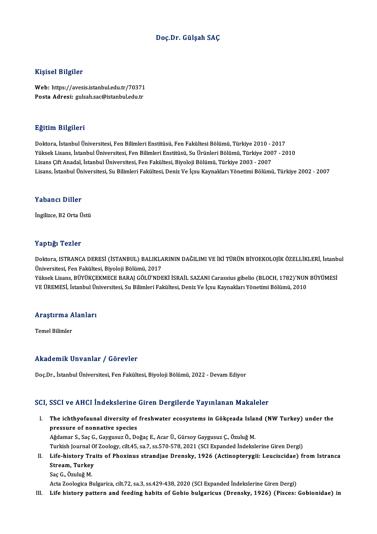#### Doç.Dr. Gülşah SAÇ

#### Kişisel Bilgiler

Kişisel Bilgiler<br>Web: https://avesis.istanbul.edu.tr/70371<br>Posta Adresi: sukeb.se@istanbul.edu.tr 11191001 D1191101<br>Web: https://avesis.istanbul.edu.tr/70371<br>Posta Adresi: gulsah.sac@istanbul.edu.tr Posta Adresi: gulsah.sac@istanbul.edu.tr<br>Eğitim Bilgileri

Doktora, İstanbulÜniversitesi,FenBilimleriEnstitüsü,FenFakültesiBölümü,Türkiye 2010 -2017 YüksekLisans, İstanbulÜniversitesi,FenBilimleriEnstitüsü,SuÜrünleriBölümü,Türkiye 2007 -2010 LisansÇiftAnadal, İstanbulÜniversitesi,FenFakültesi,BiyolojiBölümü,Türkiye 2003 -2007 Lisans, İstanbul Üniversitesi, Su Bilimleri Fakültesi, Deniz Ve İçsu Kaynakları Yönetimi Bölümü, Türkiye 2002 - 2007

#### Yabancı Diller

İngilizce, B2 Orta Üstü

#### Yaptığı Tezler

Yaptığı Tezler<br>Doktora, ISTRANCA DERESİ (İSTANBUL) BALIKLARININ DAĞILIMI VE İKİ TÜRÜN BİYOEKOLOJİK ÖZELLİKLERİ, İstanbul<br>Üniversitesi Een Fakültesi Biyoleji Bölümü, 2017 Tüp 152<br>Doktora, ISTRANCA DERESİ (İSTANBUL) BALIKLA<br>Üniversitesi, Fen Fakültesi, Biyoloji Bölümü, 2017<br>Vülteek Lisans, BÜVÜKCEKMECE BABALCÖLÜ'NDE Doktora, ISTRANCA DERESİ (İSTANBUL) BALIKLARININ DAĞILIMI VE İKİ TÜRÜN BİYOEKOLOJİK ÖZELLİKLERİ, İstanb<br>Üniversitesi, Fen Fakültesi, Biyoloji Bölümü, 2017<br>Yüksek Lisans, BÜYÜKÇEKMECE BARAJ GÖLÜ'NDEKİ İSRAİL SAZANI Carassiu

Üniversitesi, Fen Fakültesi, Biyoloji Bölümü, 2017<br>Yüksek Lisans, BÜYÜKÇEKMECE BARAJ GÖLÜ'NDEKİ İSRAİL SAZANI Carassius gibelio (BLOCH, 1782)'NUN BÜYÜMESİ<br>VE ÜREMESİ, İstanbul Üniversitesi, Su Bilimleri Fakültesi, Deniz Ve

## ve okemesi, istanbul or<br>Araştırma Alanları <mark>Araştırma A</mark><br>Temel Bilimler

# Akademik Unvanlar / Görevler

Doç.Dr., İstanbul Üniversitesi, Fen Fakültesi, Biyoloji Bölümü, 2022 - Devam Ediyor

#### SCI, SSCI ve AHCI İndekslerine Giren Dergilerde Yayınlanan Makaleler

I. The ichthyofaunal diversity of freshwater ecosystems in Gökçeada Island (NWTurkey) under the pressure of nonnative species<br>The ichthyofaunal diversity of<br>pressure of nonnative species<br>Ağdamar S. Saa C. Cauguaya Ö. Da The ichthyofaunal diversity of freshwater ecosystems in Gökçeada Isla:<br>pressure of nonnative species<br>Ağdamar S., Saç G., Gaygusuz Ö., Doğaç E., Acar Ü., Gürsoy Gaygusuz Ç., Özuluğ M.<br>Turkish Journal Of Zoology, silt 45, sa pressure of nonnative species<br>Ağdamar S., Saç G., Gaygusuz Ö., Doğaç E., Acar Ü., Gürsoy Gaygusuz Ç., Özuluğ M.<br>Turkish Journal Of Zoology, cilt.45, sa.7, ss.570-578, 2021 (SCI Expanded İndekslerine Giren Dergi) Ağdamar S., Saç G., Gaygusuz Ö., Doğaç E., Acar Ü., Gürsoy Gaygusuz Ç., Özuluğ M.<br>Turkish Journal Of Zoology, cilt.45, sa.7, ss.570-578, 2021 (SCI Expanded İndekslerine Giren Dergi)<br>II. Life-history Traits of Phoxinus Turkish Journal O<br>Life-history Tra<br>Stream, Turkey<br>See C. Ömluğ M Life-history Tr.<br>Stream, Turkey<br>Saç G., Özuluğ M.<br>Acta Zoologica B. Stream, Turkey<br>Saç G., Özuluğ M.<br>Acta Zoologica Bulgarica, cilt.72, sa.3, ss.429-438, 2020 (SCI Expanded İndekslerine Giren Dergi)

III. Life history pattern and feeding habits of Gobio bulgaricus (Drensky, 1926) (Pisces: Gobionidae) in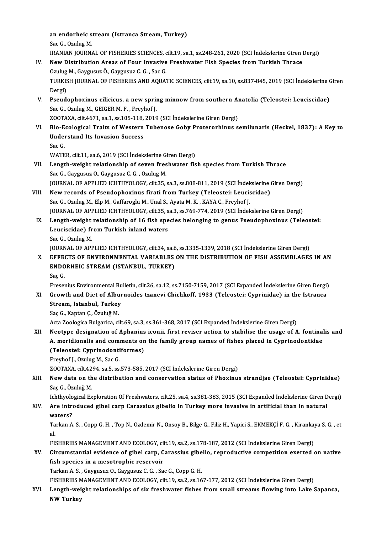an endorheic stream (Istranca Stream, Turkey)<br>See C. Omlug M an endorheic s<br>Sac G., Ozulug M.<br>IPANIAN IOUPN an endorheic stream (Istranca Stream, Turkey)<br>Sac G., Ozulug M.<br>IRANIAN JOURNAL OF FISHERIES SCIENCES, cilt.19, sa.1, ss.248-261, 2020 (SCI İndekslerine Giren Dergi)<br>Nav Distribution Areas of Four Invasive Freebyytter Fish Sac G., Ozulug M.<br>IRANIAN JOURNAL OF FISHERIES SCIENCES, cilt.19, sa.1, ss.248-261, 2020 (SCI Indekslerine Giren<br>IV. New Distribution Areas of Four Invasive Freshwater Fish Species from Turkish Thrace<br>Ozulug M., Gaygusuz Ö IRANIAN JOURNAL OF FISHERIES SCIENCES, c<br>New Distribution Areas of Four Invasive<br>Ozulug M., Gaygusuz Ö., Gaygusuz C. G. , Sac G.<br>TURKISH JOURNAL OF FISHERIES AND AQUAT New Distribution Areas of Four Invasive Freshwater Fish Species from Turkish Thrace<br>Ozulug M., Gaygusuz Ö., Gaygusuz C. G. , Sac G.<br>TURKISH JOURNAL OF FISHERIES AND AQUATIC SCIENCES, cilt.19, sa.10, ss.837-845, 2019 (SCI İ Ozulug<br>TURKIS<br>Dergi)<br>Pseud TURKISH JOURNAL OF FISHERIES AND AQUATIC SCIENCES, cilt.19, sa.10, ss.837-845, 2019 (SCI İndekslerine C<br>Dergi)<br>V. Pseudophoxinus cilicicus, a new spring minnow from southern Anatolia (Teleostei: Leuciscidae)<br>See C. Ozulus Dergi)<br>V. Pseudophoxinus cilicicus, a new spring minnow from southern Anatolia (Teleostei: Leuciscidae)<br>Sac G., Ozulug M., GEIGER M. F., Freyhof J. Pseudophoxinus cilicicus, a new spring minnow from southern Al<br>Sac G., Ozulug M., GEIGER M. F., Freyhof J.<br>ZOOTAXA, cilt.4671, sa.1, ss.105-118, 2019 (SCI İndekslerine Giren Dergi)<br>Pie Feelegisel Traits of Western Tubenese Sac G., Ozulug M., GEIGER M. F. , Freyhof J.<br>ZOOTAXA, cilt.4671, sa.1, ss.105-118, 2019 (SCI İndekslerine Giren Dergi)<br>VI. Bio-Ecological Traits of Western Tubenose Goby Proterorhinus semilunaris (Heckel, 1837): A Key to<br>U ZOOTAXA, cilt.4671, sa.1, ss.105-118,<br>Bio-Ecological Traits of Western<br>Understand Its Invasion Success<br>See C **Bio-E<br>Unde:<br>Sac G.<br>WATE** Understand Its Invasion Success<br>Sac G.<br>WATER, cilt.11, sa.6, 2019 (SCI İndekslerine Giren Dergi)<br>Langth waight relationshin of seven freshwater fis Sac G.<br>WATER, cilt.11, sa.6, 2019 (SCI Indekslerine Giren Dergi)<br>VII. Length-weight relationship of seven freshwater fish species from Turkish Thrace<br>Sac G., Gaygusuz O., Gaygusuz C. G. , Ozulug M. WATER, cilt.11, sa.6, 2019 (SCI İndekslerine G.<br>Length-weight relationship of seven fres<br>Sac G., Gaygusuz O., Gaygusuz C. G. , Ozulug M.<br>JOUPMAL OF APPLIED JCHTHYOLOCY, silt 25 JOURNAL OF APPLIED ICHTHYOLOGY, cilt.35, sa.3, ss.808-811, 2019 (SCI İndekslerine Giren Dergi) Sac G., Gaygusuz O., Gaygusuz C. G., Ozulug M.<br>JOURNAL OF APPLIED ICHTHYOLOGY, cilt.35, sa.3, ss.808-811, 2019 (SCI Indekslerine (<br>VIII. New records of Pseudophoxinus firati from Turkey (Teleostei: Leuciscidae) JOURNAL OF APPLIED ICHTHYOLOGY, cilt.35, sa.3, ss.808-811, 2019 (SCI İndek<br>New records of Pseudophoxinus firati from Turkey (Teleostei: Leucis<br>Sac G., Ozulug M., Elp M., Gaffaroglu M., Unal S., Ayata M. K. , KAYA C., Freyh New records of Pseudophoxinus firati from Turkey (Teleostei: Leuciscidae)<br>Sac G., Ozulug M., Elp M., Gaffaroglu M., Unal S., Ayata M. K. , KAYA C., Freyhof J.<br>JOURNAL OF APPLIED ICHTHYOLOGY, cilt.35, sa.3, ss.769-774, 2019 Sac G., Ozulug M., Elp M., Gaffaroglu M., Unal S., Ayata M. K. , KAYA C., Freyhof J.<br>JOURNAL OF APPLIED ICHTHYOLOGY, cilt.35, sa.3, ss.769-774, 2019 (SCI indekslerine Giren Dergi)<br>IX. Length-weight relationship of 16 fish JOURNAL OF APPLIED ICHTHYOLOGY, cilt.35, s<br>Length-weight relationship of 16 fish spe<br>Leuciscidae) from Turkish inland waters<br>See C. Ozulug M Le<mark>ngth-weight</mark><br>Leuciscidae) fr<br>Sac G., Ozulug M.<br>JOUPMAL OF API Leuciscidae) from Turkish inland waters<br>Sac G., Ozulug M.<br>JOURNAL OF APPLIED ICHTHYOLOGY, cilt.34, sa.6, ss.1335-1339, 2018 (SCI İndekslerine Giren Dergi)<br>FEFECTS OF ENVIRONMENTAL VARLARLES ON THE DISTRIRIITION OF FISH ASS Sac G., Ozulug M.<br>JOURNAL OF APPLIED ICHTHYOLOGY, cilt.34, sa.6, ss.1335-1339, 2018 (SCI İndekslerine Giren Dergi)<br>X. EFFECTS OF ENVIRONMENTAL VARIABLES ON THE DISTRIBUTION OF FISH ASSEMBLAGES IN AN JOURNAL OF APPLIED ICHTHYOLOGY, cilt.34, sa.6<br>EFFECTS OF ENVIRONMENTAL VARIABLES<br>ENDORHEIC STREAM (ISTANBUL, TURKEY)<br>See C ENDORHEIC STREAM (ISTANBUL, TURKEY)<br>Sac G. FreseniusEnvironmentalBuletin, cilt.26, sa.12, ss.7150-7159,2017 (SCIExpanded İndekslerineGirenDergi) Saç G.<br>Fresenius Environmental Bulletin, cilt.26, sa.12, ss.7150-7159, 2017 (SCI Expanded İndekslerine Giren Dergi)<br>XI. Growth and Diet of Alburnoides tzanevi Chichkoff, 1933 (Teleostei: Cyprinidae) in the Istranca<br>Streem Fresenius Environmental Bu<br>Growth and Diet of Albur<br>Stream, Istanbul, Turkey<br>See C. Koptan C. Öruluğ M Growth and Diet of Albu<br>Stream, Istanbul, Turkey<br>Saç G., Kaptan Ç., Özuluğ M.<br>Asta Zoolasiaa Bulsaniaa si Stream, Istanbul, Turkey<br>Saç G., Kaptan Ç., Özuluğ M.<br>Acta Zoologica Bulgarica, cilt.69, sa.3, ss.361-368, 2017 (SCI Expanded İndekslerine Giren Dergi) Saç G., Kaptan Ç., Özuluğ M.<br>Acta Zoologica Bulgarica, cilt.69, sa.3, ss.361-368, 2017 (SCI Expanded Indekslerine Giren Dergi)<br>XII. Neotype designation of Aphanius iconii, first reviser action to stabilise the usage of A. Acta Zoologica Bulgarica, cilt.69, sa.3, ss.361-368, 2017 (SCI Expanded İndekslerine Giren Dergi)<br>Neotype designation of Aphanius iconii, first reviser action to stabilise the usage of A. fontinal<br>A. meridionalis and comme Neotype designation of Aphanius<br>A. meridionalis and comments on<br>(Teleostei: Cyprinodontiformes)<br>Ensubef L. Omlug M. See C. A. meridionalis and comments on the family group names of fishes placed in Cyprinodontidae (Teleostei: Cyprinodontiformes)<br>Freyhof J., Ozulug M., Sac G. ZOOTAXA, cilt.4294, sa.5, ss.573-585, 2017 (SCI İndekslerine Giren Dergi) Freyhof J., Ozulug M., Sac G.<br>ZOOTAXA, cilt.4294, sa.5, ss.573-585, 2017 (SCI indekslerine Giren Dergi)<br>XIII. New data on the distribution and conservation status of Phoxinus strandjae (Teleostei: Cyprinidae)<br>Sac C. Öruluğ ZOOTAXA, cilt.42<br>New data on th<br>Saç G., Özuluğ M.<br>Jehthyological Ex New data on the distribution and conservation status of Phoxinus strandjae (Teleostei: Cyprinidae)<br>Saç G., Özuluğ M.<br>Ichthyological Exploration Of Freshwaters, cilt.25, sa.4, ss.381-383, 2015 (SCI Expanded İndekslerine Gir Saç G., Özuluğ M.<br>Ichthyological Exploration Of Freshwaters, cilt.25, sa.4, ss.381-383, 2015 (SCI Expanded İndekslerine Giren D<br>XIV. Are introduced gibel carp Carassius gibelio in Turkey more invasive in artificial tha Ichthyolo<br>Are intre<br>waters?<br>Tarkar A Are introduced gibel carp Carassius gibelio in Turkey more invasive in artificial than in natural<br>waters?<br>Tarkan A. S. , Copp G. H. , Top N., Ozdemir N., Onsoy B., Bilge G., Filiz H., Yapici S., EKMEKÇİ F. G. , Kirankaya S wa<br>Ta<br>Eu Tarkan A. S. , Copp G. H. , Top N., Ozdemir N., Onsoy B., Bilge G., Filiz H., Yapici S., EKMEKÇİ F. G. , Kiranka<br>al.<br>FISHERIES MANAGEMENT AND ECOLOGY, cilt.19, sa.2, ss.178-187, 2012 (SCI İndekslerine Giren Dergi)<br>Gireumet al.<br>FISHERIES MANAGEMENT AND ECOLOGY, cilt.19, sa.2, ss.178-187, 2012 (SCI İndekslerine Giren Dergi)<br>XV. Circumstantial evidence of gibel carp, Carassius gibelio, reproductive competition exerted on native<br>fish species in FISHERIES MANAGEMENT AND ECOLOGY, cilt.19, sa.2, ss.178-187, 2012 (SCI Indekslerine Giren Dergi) Tarkan A.S., Gaygusuz O., Gaygusuz C. G., Sac G., Copp G. H. FISHERIESMANAGEMENTANDECOLOGY, cilt.19, sa.2, ss.167-177,2012 (SCI İndekslerineGirenDergi) Tarkan A. S. , Gaygusuz O., Gaygusuz C. G. , Sac G., Copp G. H.<br>FISHERIES MANAGEMENT AND ECOLOGY, cilt.19, sa.2, ss.167-177, 2012 (SCI İndekslerine Giren Dergi)<br>XVI. Length-weight relationships of six freshwater fishes FISHERIES M<br>Length-wei<br>NW Turkey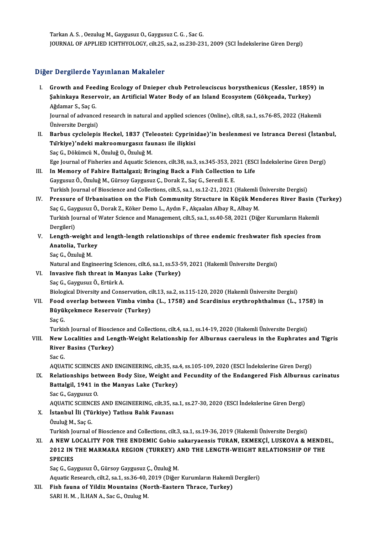Tarkan A.S., Oezulug M., Gaygusuz O., Gaygusuz C. G., Sac G. JOURNAL OF APPLIED ICHTHYOLOGY, cilt.25, sa.2, ss.230-231, 2009 (SCI İndekslerine Giren Dergi)

### Diğer Dergilerde Yayınlanan Makaleler

Iger Dergilerde Yayınlanan Makaleler<br>I. Growth and Feeding Ecology of Dnieper chub Petroleuciscus borysthenicus (Kessler, 1859) in<br>Sabinkaya Bosaryoir, an Artificial Water Body of an Island Ecosystem (Gökseada, Turkey) r Borgnorde Taymmanan Mandrorer<br>Growth and Feeding Ecology of Dnieper chub Petroleuciscus borysthenicus (Kessler, 1859<br>Sahinkaya Reservoir, an Artificial Water Body of an Island Ecosystem (Gökçeada, Turkey) Growth and Fee<br>Şahinkaya Reser<br>Ağdamar S., Saç G.<br>Journal of advance Sahinkaya Reservoir, an Artificial Water Body of an Island Ecosystem (Gökçeada, Turkey)<br>Ağdamar S., Saç G.<br>Journal of advanced research in natural and applied sciences (Online), cilt.8, sa.1, ss.76-85, 2022 (Hake<br>Üniversit

Journal of advanced research in natural and applied sciences (Online), cilt.8, sa.1, ss.76-85, 2022 (Hakemli I . Journal of advanced research in natural and applied sciences (Online), cilt.8, sa.1, ss.76-85, 2022 (Hakemli<br>Üniversite Dergisi)<br>II. Barbus cyclolepis Heckel, 1837 (Teleostei: Cyprinidae)'in beslenmesi ve Istranca Dere

Üniversite Dergisi)<br>Barbus cyclolepis Heckel, 1837 (Teleostei: Cyprini<br>Türkiye)'ndeki makroomurgasız faunası ile ilişkisi<br>See C. Dökümeü N. Örulyž Q. Örulyž M Barbus cyclolepis Heckel, 1837 (Tel<br>Türkiye)'ndeki makroomurgasız fau<br>Saç G., Dökümcü N., Özuluğ O., Özuluğ M.<br>Ege Journal of Fisheries and Aguatis Sai Türkiye)'ndeki makroomurgasız faunası ile ilişkisi<br>Saç G., Dökümcü N., Özuluğ O., Özuluğ M.<br>Ege Journal of Fisheries and Aquatic Sciences, cilt.38, sa.3, ss.345-353, 2021 (ESCI İndekslerine Giren Dergi)

- III. In Memory of Fahire Battalgazi; Bringing Back a Fish Collection to Life Gaygusuz Ö., Özuluğ M., Gürsoy Gaygusuz Ç., Dorak Z., Saç G., Serezli E. E. In Memory of Fahire Battalgazi; Bringing Back a Fish Collection to Life<br>Gaygusuz Ö., Özuluğ M., Gürsoy Gaygusuz Ç., Dorak Z., Saç G., Serezli E. E.<br>Turkish Journal of Bioscience and Collections, cilt.5, sa.1, ss.12-21, 202
- IV. Pressure of Urbanisation on the Fish Community Structure in Küçük Menderes River Basin (Turkey)<br>Saç G., Gaygusuz Ö., Dorak Z., Köker Demo L., Aydın F., Akçaalan Albay R., Albay M. Turkish Journal of Bioscience and Collections, cilt.5, sa.1, ss.12-21, 2021 (Hakemli<br>Pressure of Urbanisation on the Fish Community Structure in Küçük Mei<br>Saç G., Gaygusuz Ö., Dorak Z., Köker Demo L., Aydın F., Akçaalan Al Pressure of Urbanisation on the Fish Community Structure in Küçük Menderes River Basin (")<br>Saç G., Gaygusuz Ö., Dorak Z., Köker Demo L., Aydın F., Akçaalan Albay R., Albay M.<br>Turkish Journal of Water Science and Management Saç G., Gay<br>Turkish Jo<br>Dergileri)<br>Longth w Turkish Journal of Water Science and Management, cilt.5, sa.1, ss.40-58, 2021 (Diğer Kurumların Hakemli<br>Dergileri)<br>V. Length-weight and length-length relationships of three endemic freshwater fish species from<br>Anatolia Tur
- Dergileri)<br>Length-weight an<br>Anatolia, Turkey<br>See C. Öruluğ M Le<mark>ngth-weight</mark><br>Anatolia, Turke<br>Saç G., Özuluğ M.<br>Natural and Engi

Saç G., Özuluğ M.<br>Natural and Engineering Sciences, cilt.6, sa.1, ss.53-59, 2021 (Hakemli Üniversite Dergisi) Saç G., Özuluğ M.<br>Natural and Engineering Sciences, cilt.6, sa.1, ss.53-5<br>VI. Invasive fish threat in Manyas Lake (Turkey)

### Natural and Engineering Scie<br>Invasive fish threat in Ma:<br>Saç G., Gaygusuz Ö., Ertürk A.<br>Biologisal Divorsity and Cons Saç G., Gaygusuz Ö., Ertürk A.<br>Biological Diversity and Conservation, cilt.13, sa.2, ss.115-120, 2020 (Hakemli Üniversite Dergisi)

### Saç G., Gaygusuz Ö., Ertürk A.<br>Biological Diversity and Conservation, cilt.13, sa.2, ss.115-120, 2020 (Hakemli Üniversite Dergisi)<br>VII. Food overlap between Vimba vimba (L., 1758) and Scardinius erythrophthalmus (L., 1 Biological Diversity and Conservation, c<br>Food overlap between Vimba vimb.<br>Büyükçekmece Reservoir (Turkey)<br>See*C* Food<br>Büyül<br>Saç G.<br>Turkis Büyükçekmece Reservoir (Turkey)<br>Saç G.<br>Turkish Journal of Bioscience and Collections, cilt.4, sa.1, ss.14-19, 2020 (Hakemli Üniversite Dergisi)

### Saç G.<br>Turkish Journal of Bioscience and Collections, cilt.4, sa.1, ss.14-19, 2020 (Hakemli Üniversite Dergisi)<br>VIII. New Localities and Length-Weight Relationship for Alburnus caeruleus in the Euphrates and Tigris<br>Piyer B Turkish Journal of Bioscie<br>New Localities and Ler<br>River Basins (Turkey)<br>See*C* New I<br>River<br>Sac G. River Basins (Turkey)<br>Sac G.<br>AQUATIC SCIENCES AND ENGINEERING, cilt.35, sa.4, ss.105-109, 2020 (ESCI İndekslerine Giren Dergi)

IX. Relationships between Body Size,Weight and Fecundity of the Endangered Fish Alburnus carinatus AQUATIC SCIENCES AND ENGINEERING, cilt.35, sa.<br>Relationships between Body Size, Weight and<br>Battalgil, 1941 in the Manyas Lake (Turkey)<br>Sac C. Cayguayz O Relationships bet<br>Battalgil, 1941 in<br>Sac G., Gaygusuz O.<br>AOUATIC SCIENCES Sac G., Gaygusuz O.<br>AQUATIC SCIENCES AND ENGINEERING, cilt.35, sa.1, ss.27-30, 2020 (ESCI İndekslerine Giren Dergi)

- Sac G., Gaygusuz O.<br>AQUATIC SCIENCES AND ENGINEERING, cilt.35, s<br>X. İstanbul İli (Türkiye) Tatlısu Balık Faunası<br>Özuluğ M. Sac C AQUATIC SCIEN<mark>C</mark><br>İstanbul İli (Tü<br>Özuluğ M., Saç G.<br>Turkish Journal 4 Özuluğ M., Saç G.<br>Turkish Journal of Bioscience and Collections, cilt.3, sa.1, ss.19-36, 2019 (Hakemli Üniversite Dergisi) Özuluğ M., Saç G.<br>Turkish Journal of Bioscience and Collections, cilt.3, sa.1, ss.19-36, 2019 (Hakemli Üniversite Dergisi)<br>XI. A NEW LOCALITY FOR THE ENDEMIC Gobio sakaryaensis TURAN, EKMEKÇİ, LUSKOVA & MENDEL,<br>2012 IN THE
- Turkish Journal of Bioscience and Collections, cilt.3, sa.1, ss.19-36, 2019 (Hakemli Üniversite Dergisi)<br>A NEW LOCALITY FOR THE ENDEMIC Gobio sakaryaensis TURAN, EKMEKÇİ, LUSKOVA & MENDE<br>2012 IN THE MARMARA REGION (TURKEY) A NEW L<br>2012 IN<br>SPECIES 2012 IN THE MARMARA REGION (TURKEY) AND THE LENGTH-WEIGHT RELATIONSHIP OF THE SPECIES<br>SPECIES<br>Saç G., Gaygusuz Ö., Gürsoy Gaygusuz Ç., Özuluğ M. SPECIES<br>Saç G., Gaygusuz Ö., Gürsoy Gaygusuz Ç., Özuluğ M.<br>Aquatic Research, cilt.2, sa.1, ss.36-40, 2019 (Diğer Kurumların Hakemli Dergileri)<br>Fish foung of Yildir Mountains (North Fostorn Thrass, Turkov)

Saç G., Gaygusuz Ö., Gürsoy Gaygusuz Ç., Özuluğ M.<br>Aquatic Research, cilt.2, sa.1, ss.36-40, 2019 (Diğer Kurumların Hakemli<br>XII. Fish fauna of Yildiz Mountains (North-Eastern Thrace, Turkey)<br>SABLH M. İLHANA, Sas G. Orulus Aquatic Research, cilt.2, sa.1, ss.36-40,<br>Fish fauna of Yildiz Mountains (No<br>SARI H. M. , İLHAN A., Sac G., Ozulug M.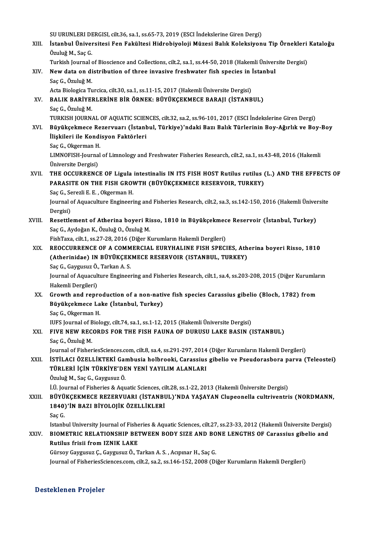SU URUNLERI DERGISI, cilt.36, sa.1, ss.65-73, 2019 (ESCI İndekslerine Giren Dergi)<br>İstanbul Üniversitesi Fan Fakültesi Hidrobiyeleji Müzesi Balık Kaleksiyen

SU URUNLERI DERGISI, cilt.36, sa.1, ss.65-73, 2019 (ESCI İndekslerine Giren Dergi)<br>XIII. İstanbul Üniversitesi Fen Fakültesi Hidrobiyoloji Müzesi Balık Koleksiyonu Tip Örnekleri Kataloğu<br>Ömluğ M. Saa*C* SU URUNLERI DI<br>İstanbul Ünivel<br>Özuluğ M., Saç G.<br>Turkish Journal 4 İstanbul Üniversitesi Fen Fakültesi Hidrobiyoloji Müzesi Balık Koleksiyonu Tip Örnekleri<br>Özuluğ M., Saç G.<br>Turkish Journal of Bioscience and Collections, cilt.2, sa.1, ss.44-50, 2018 (Hakemli Üniversite Dergisi)<br>Nav data e

### Özuluğ M., Saç G.<br>Turkish Journal of Bioscience and Collections, cilt.2, sa.1, ss.44-50, 2018 (Hakemli Üniver<br>XIV. New data on distribution of three invasive freshwater fish species in İstanbul<br>Sas G. Özuluğ M Turkish Journal of Bioscience and Collections, cilt.2, sa.1, ss.44-50, 2018 (Hakemli Üniversite Dergisi)<br>New data on distribution of three invasive freshwater fish species in İstanbul<br>Saç G., Özuluğ M.<br>Acta Biologica Turci New data on distribution of three invasive freshwater fish species in |<br>Saç G., Özuluğ M.<br>Acta Biologica Turcica, cilt.30, sa.1, ss.11-15, 2017 (Hakemli Üniversite Dergisi)<br>PALIK RARİVERLERİNE RİR ÖRNEK, RÜVÜKCEKMECE RARAL

- Saç G., Özuluğ M.<br>Acta Biologica Turcica, cilt.30, sa.1, ss.11-15, 2017 (Hakemli Üniversite Dergisi)<br>XV. BALIK BARİYERLERİNE BİR ÖRNEK: BÜYÜKÇEKMECE BARAJI (İSTANBUL)<br>Ses C. Özuluğ M Acta Biologica T<mark>u</mark><br>BALIK BARİYEI<br>Saç G., Özuluğ M.<br>TURKISH JOURN. BALIK BARİYERLERİNE BİR ÖRNEK: BÜYÜKÇEKMECE BARAJI (İSTANBUL)<br>Saç G., Özuluğ M.<br>TURKISH JOURNAL OF AQUATIC SCIENCES, cilt.32, sa.2, ss.96-101, 2017 (ESCI İndekslerine Giren Dergi)<br>Büyüksekmese Bezeriyeri (İstanbul, Türkiye
- Saç G., Özuluğ M.<br>TURKISH JOURNAL OF AQUATIC SCIENCES, cilt.32, sa.2, ss.96-101, 2017 (ESCI İndekslerine Giren Dergi)<br>XVI. Büyükçekmece Rezervuarı (İstanbul, Türkiye)'ndaki Bazı Balık Türlerinin Boy-Ağırlık ve Boy-Boy<br> TURKISH JOURNAL OF AQUATIC SCIEN<br>Büyükçekmece Rezervuarı (İstanl<br>İlişkileri ile Kondisyon Faktörleri<br>Sas C. Oksermen H Büyükçekmece Re<br>İlişkileri ile Kondi<br>Saç G., Okgerman H.<br>LIMNOEISH Journal İlişkileri ile Kondisyon Faktörleri<br>Saç G., Okgerman H.<br>LIMNOFISH-Journal of Limnology and Freshwater Fisheries Research, cilt.2, sa.1, ss.43-48, 2016 (Hakemli<br>Üniversite Dersisi) Saç G., Okgerman H<br>LIMNOFISH-Journa<br>Üniversite Dergisi)<br>THE OCCUPPENC LIMNOFISH-Journal of Limnology and Freshwater Fisheries Research, cilt.2, sa.1, ss.43-48, 2016 (Hakemli<br>Üniversite Dergisi)<br>XVII. THE OCCURRENCE OF Ligula intestinalis IN ITS FISH HOST Rutilus rutilus (L.) AND THE EFFECTS

### Üniversite Dergisi)<br>THE OCCURRENCE OF Ligula intestinalis IN ITS FISH HOST Rutilus rutilus (<br>PARASITE ON THE FISH GROWTH (BÜYÜKÇEKMECE RESERVOIR, TURKEY)<br>See C. Senerli E. E. Oksermer H THE OCCURRENCE OF Ligula<br>PARASITE ON THE FISH GROV<br>Saç G., Serezli E. E. , Okgerman H.<br>Journal of Aguesulture Engineeri PARASITE ON THE FISH GROWTH (BÜYÜKÇEKMECE RESERVOIR, TURKEY)<br>Saç G., Serezli E. E. , Okgerman H.<br>Journal of Aquaculture Engineering and Fisheries Research, cilt.2, sa.3, ss.142-150, 2016 (Hakemli Üniversite<br>Persisi) Saç G., Se<br>Journal d<br>Dergisi)<br>Pesettle

Journal of Aquaculture Engineering and Fisheries Research, cilt.2, sa.3, ss.142-150, 2016 (Hakemli Üniver<br>Dergisi)<br>XVIII. Resettlement of Atherina boyeri Risso, 1810 in Büyükçekmece Reservoir (İstanbul, Turkey)

Dergisi)<br>XVIII. Resettlement of Atherina boyeri Risso, 1810 in Büyükçekmece Reservoir (İstanbul, Turkey)<br>Saç G., Aydoğan K., Özuluğ O., Özuluğ M.

FishTaxa, cilt.1, ss.27-28, 2016 (Diğer Kurumların Hakemli Dergileri)

Saç G., Aydoğan K., Özuluğ O., Özuluğ M.<br>FishTaxa, cilt.1, ss.27-28, 2016 (Diğer Kurumların Hakemli Dergileri)<br>XIX. REOCCURRENCE OF A COMMERCIAL EURYHALINE FISH SPECIES, Atherina boyeri Risso, 1810 FishTaxa, cilt.1, ss.27-28, 2016 (Diğer Kurumların Hakemli Dergileri)<br>REOCCURRENCE OF A COMMERCIAL EURYHALINE FISH SPECIES, Ath<br>(Atherinidae) IN BÜYÜKÇEKMECE RESERVOIR (ISTANBUL, TURKEY)<br>See C. Caygusuz Ö. Tarkan A S REOCCURRENCE OF A COMM<br>(Atherinidae) IN BÜYÜKÇEK<br>Saç G., Gaygusuz Ö., Tarkan A. S.<br>Journal of Aguagulture Engineer (Atherinidae) IN BÜYÜKÇEKMECE RESERVOIR (ISTANBUL, TURKEY)<br>Saç G., Gaygusuz Ö., Tarkan A. S.<br>Journal of Aquaculture Engineering and Fisheries Research, cilt.1, sa.4, ss.203-208, 2015 (Diğer Kurumların<br>Hakemli Dergileri) Saç G., Gaygusuz Ö., Tarkan A. S.

Journal of Aquaculture Engineering and Fisheries Research, cilt.1, sa.4, ss.203-208, 2015 (Diğer Kurumla:<br>Hakemli Dergileri)<br>XX. Growth and reproduction of a non-native fish species Carassius gibelio (Bloch, 1782) from

Hakemli Dergileri)<br>Growth and reproduction of a non-nativ<br>Büyükçekmece Lake (İstanbul, Turkey)<br>See C. Olizerman H Growth and repro<br>Büyükçekmece La<br>Saç G., Okgerman H.<br><sup>HIES Lournal of Biol.</sup> Büyükçekmece Lake (İstanbul, Turkey)<br>Saç G., Okgerman H.<br>IUFS Journal of Biology, cilt.74, sa.1, ss.1-12, 2015 (Hakemli Üniversite Dergisi)<br>FIVE NEW BECORDS FOR THE FISH FAIINA OF DURUSU LAKE BASIN ()

## Saç G., Okgerman H.<br>IUFS Journal of Biology, cilt.74, sa.1, ss.1-12, 2015 (Hakemli Üniversite Dergisi)<br>XXI. FIVE NEW RECORDS FOR THE FISH FAUNA OF DURUSU LAKE BASIN (ISTANBUL)<br>Saç G., Özuluğ M.

IUFS Journal of E<br>FIVE NEW REC<br>Saç G., Özuluğ M.<br>Journal of Fisbon Journal of FisheriesSciences.com, cilt.8, sa.4, ss.291-297, 2014 (Diğer Kurumların Hakemli Dergileri)

XXII. ISTİLACI ÖZELLİKTEKİ Gambusia holbrooki, Carassius gibelio ve Pseudorasbora parva (Teleostei) Journal of FisheriesSciences.com, cilt.8, sa.4, ss.291-297, 2014<br>İSTİLACI ÖZELLİKTEKİ Gambusia holbrooki, Carassius<br>TÜRLERİ İÇİN TÜRKİYE'DEN YENİ YAYILIM ALANLARI<br>Özuluğ M. Sas C. Caygusuz Ö İSTİLACI ÖZELLİKTEKİ Gar<br>TÜRLERİ İÇİN TÜRKİYE'DE<br>Özuluğ M., Saç G., Gaygusuz Ö.<br>İ Ü. Journal of Fisheries & Agu

Özuluğ M., Saç G., Gaygusuz Ö.<br>İ.Ü. Journal of Fisheries & Aquatic Sciences, cilt.28, ss.1-22, 2013 (Hakemli Üniversite Dergisi)

XXIII. BÜYÜKÇEKMECE REZERVUARI (İSTANBUL)'NDA YAŞAYAN Clupeonella cultriventris (NORDMANN, İ.Ü. Journal of Fisheries & Aquatic Sciences, ci<br>BÜYÜKÇEKMECE REZERVUARI (İSTANBI<br>1840)'İN BAZI BİYOLOJİK ÖZELLİKLERİ<br>Saa*C* BÜYÜ<br>1840)<br>Saç G.<br>Istanb Saç G.<br>Istanbul University Journal of Fisheries & Aquatic Sciences, cilt.27, ss.23-33, 2012 (Hakemli Üniversite Dergisi) Saç G.<br>Istanbul University Journal of Fisheries & Aquatic Sciences, cilt.27, ss.23-33, 2012 (Hakemli Üniversite Dergisi<br>XXIV. BIOMETRIC RELATIONSHIP BETWEEN BODY SIZE AND BONE LENGTHS OF Carassius gibelio and

### Istanbul University Journal of Fishe<br>BIOMETRIC RELATIONSHIP BET<br>Rutilus frisii from IZNIK LAKE BIOMETRIC RELATIONSHIP BETWEEN BODY SIZE AND BO<br>Rutilus frisii from IZNIK LAKE<br>Gürsoy Gaygusuz Ç., Gaygusuz Ö., Tarkan A.S., Acıpınar H., Saç G.<br>Journal of EisboriesSsieness som silt 2, sa 2, sa 146, 152, 2008 (Di Rutilus frisii from IZNIK LAKE<br>Gürsoy Gaygusuz Ç., Gaygusuz Ö., Tarkan A. S. , Acıpınar H., Saç G.<br>Journal of FisheriesSciences.com, cilt.2, sa.2, ss.146-152, 2008 (Diğer Kurumların Hakemli Dergileri)

### Desteklenen Projeler